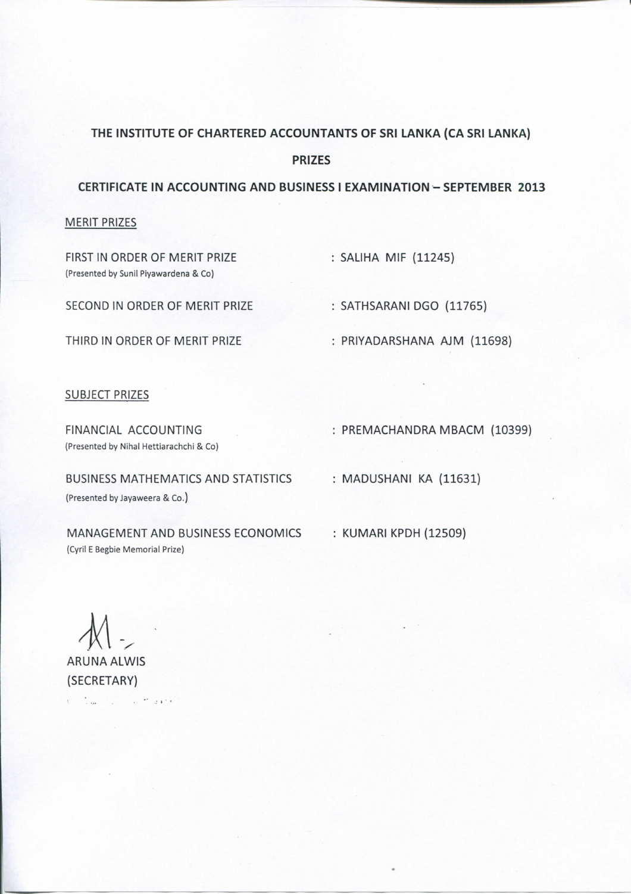# **THE INSTITUTE OF CHARTERED ACCOUNTANTS OF SRI LANKA (CA SRI LANKA)**

**PRIZES** 

**CERTIFICATE IN ACCOUNTING AND BUSINESS I EXAMINATION - SEPTEMBER 2013** 

#### MERIT PRIZES

FIRST IN ORDER OF MERIT PRIZE : SALIHA MIF (11245) **(Presented by Sunil Piyawardena & Co)** 

SECOND IN ORDER OF MERIT PRIZE : SATHSARANI DGO (11765)

THIRD IN ORDER OF MERIT PRIZE : PRIYADARSHANA AJM (11698)

## SUBJECT PRIZES

**(Presented by Nihal Hettiarachchi & Co)** 

FINANCIAL ACCOUNTING : PREMACHANDRA MBACM (10399)

BUSINESS MATHEMATICS AND STATISTICS : MADUSHANI KA (11631) **(Presented by Jayaweera & Co.)** 

MANAGEMENT AND BUSINESS ECONOMICS : KUMARI KPDH (12509) **(Cyril E Begbie Memorial Prize)** 

ARUNA ALWIS

(SECRETARY) Contract of the Council